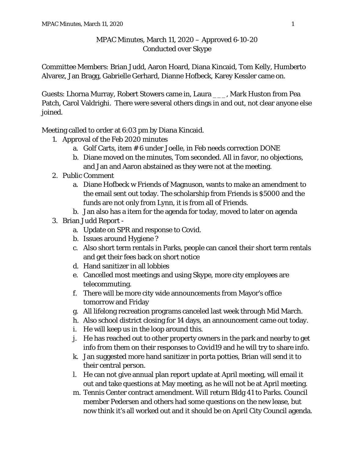## MPAC Minutes, March 11, 2020 – Approved 6-10-20 Conducted over Skype

Committee Members: Brian Judd, Aaron Hoard, Diana Kincaid, Tom Kelly, Humberto Alvarez, Jan Bragg, Gabrielle Gerhard, Dianne Hofbeck, Karey Kessler came on.

Guests: Lhorna Murray, Robert Stowers came in, Laura \_\_\_, Mark Huston from Pea Patch, Carol Valdrighi. There were several others dings in and out, not clear anyone else joined.

Meeting called to order at 6:03 pm by Diana Kincaid.

- 1. Approval of the Feb 2020 minutes
	- a. Golf Carts, item # 6 under Joelle, in Feb needs correction DONE
	- b. Diane moved on the minutes, Tom seconded. All in favor, no objections, and Jan and Aaron abstained as they were not at the meeting.
- 2. Public Comment
	- a. Diane Hofbeck w Friends of Magnuson, wants to make an amendment to the email sent out today. The scholarship from Friends is \$5000 and the funds are not only from Lynn, it is from all of Friends.
	- b. Jan also has a item for the agenda for today, moved to later on agenda
- 3. Brian Judd Report
	- a. Update on SPR and response to Covid.
	- b. Issues around Hygiene ?
	- c. Also short term rentals in Parks, people can cancel their short term rentals and get their fees back on short notice
	- d. Hand sanitizer in all lobbies
	- e. Cancelled most meetings and using Skype, more city employees are telecommuting.
	- f. There will be more city wide announcements from Mayor's office tomorrow and Friday
	- g. All lifelong recreation programs canceled last week through Mid March.
	- h. Also school district closing for 14 days, an announcement came out today.
	- i. He will keep us in the loop around this.
	- j. He has reached out to other property owners in the park and nearby to get info from them on their responses to Covid19 and he will try to share info.
	- k. Jan suggested more hand sanitizer in porta potties, Brian will send it to their central person.
	- l. He can not give annual plan report update at April meeting, will email it out and take questions at May meeting, as he will not be at April meeting.
	- m. Tennis Center contract amendment. Will return Bldg 41 to Parks. Council member Pedersen and others had some questions on the new lease, but now think it's all worked out and it should be on April City Council agenda.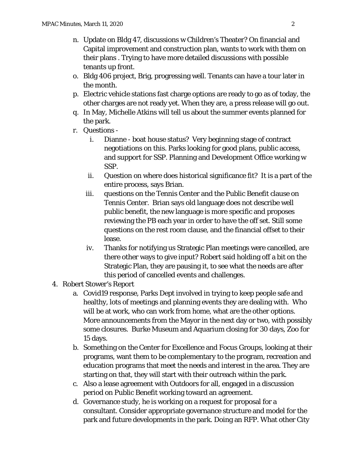- n. Update on Bldg 47, discussions w Children's Theater? On financial and Capital improvement and construction plan, wants to work with them on their plans . Trying to have more detailed discussions with possible tenants up front.
- o. Bldg 406 project, Brig, progressing well. Tenants can have a tour later in the month.
- p. Electric vehicle stations fast charge options are ready to go as of today, the other charges are not ready yet. When they are, a press release will go out.
- q. In May, Michelle Atkins will tell us about the summer events planned for the park.
- r. Questions
	- i. Dianne boat house status? Very beginning stage of contract negotiations on this. Parks looking for good plans, public access, and support for SSP. Planning and Development Office working w SSP.
	- ii. Question on where does historical significance fit? It is a part of the entire process, says Brian.
	- iii. questions on the Tennis Center and the Public Benefit clause on Tennis Center. Brian says old language does not describe well public benefit, the new language is more specific and proposes reviewing the PB each year in order to have the off set. Still some questions on the rest room clause, and the financial offset to their lease.
	- iv. Thanks for notifying us Strategic Plan meetings were cancelled, are there other ways to give input? Robert said holding off a bit on the Strategic Plan, they are pausing it, to see what the needs are after this period of cancelled events and challenges.
- 4. Robert Stower's Report
	- a. Covid19 response, Parks Dept involved in trying to keep people safe and healthy, lots of meetings and planning events they are dealing with. Who will be at work, who can work from home, what are the other options. More announcements from the Mayor in the next day or two, with possibly some closures. Burke Museum and Aquarium closing for 30 days, Zoo for 15 days.
	- b. Something on the Center for Excellence and Focus Groups, looking at their programs, want them to be complementary to the program, recreation and education programs that meet the needs and interest in the area. They are starting on that, they will start with their outreach within the park.
	- c. Also a lease agreement with Outdoors for all, engaged in a discussion period on Public Benefit working toward an agreement.
	- d. Governance study, he is working on a request for proposal for a consultant. Consider appropriate governance structure and model for the park and future developments in the park. Doing an RFP. What other City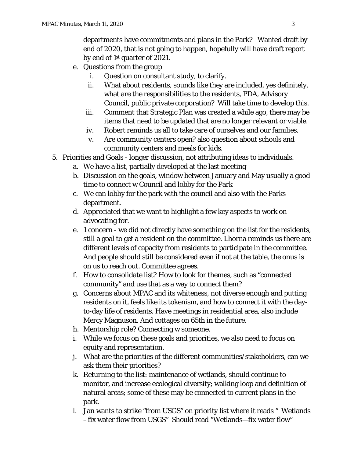departments have commitments and plans in the Park? Wanted draft by end of 2020, that is not going to happen, hopefully will have draft report by end of 1st quarter of 2021.

- e. Questions from the group
	- i. Question on consultant study, to clarify.
	- ii. What about residents, sounds like they are included, yes definitely, what are the responsibilities to the residents, PDA, Advisory Council, public private corporation? Will take time to develop this.
	- iii. Comment that Strategic Plan was created a while ago, there may be items that need to be updated that are no longer relevant or viable.
	- iv. Robert reminds us all to take care of ourselves and our families.
	- v. Are community centers open? also question about schools and community centers and meals for kids.
- 5. Priorities and Goals longer discussion, not attributing ideas to individuals.
	- a. We have a list, partially developed at the last meeting
	- b. Discussion on the goals, window between January and May usually a good time to connect w Council and lobby for the Park
	- c. We can lobby for the park with the council and also with the Parks department.
	- d. Appreciated that we want to highlight a few key aspects to work on advocating for.
	- e. 1 concern we did not directly have something on the list for the residents, still a goal to get a resident on the committee. Lhorna reminds us there are different levels of capacity from residents to participate in the committee. And people should still be considered even if not at the table, the onus is on us to reach out. Committee agrees.
	- f. How to consolidate list? How to look for themes, such as "connected community" and use that as a way to connect them?
	- g. Concerns about MPAC and its whiteness, not diverse enough and putting residents on it, feels like its tokenism, and how to connect it with the dayto-day life of residents. Have meetings in residential area, also include Mercy Magnuson. And cottages on 65th in the future.
	- h. Mentorship role? Connecting w someone.
	- i. While we focus on these goals and priorities, we also need to focus on equity and representation.
	- j. What are the priorities of the different communities/stakeholders, can we ask them their priorities?
	- k. Returning to the list: maintenance of wetlands, should continue to monitor, and increase ecological diversity; walking loop and definition of natural areas; some of these may be connected to current plans in the park.
	- l. Jan wants to strike "from USGS" on priority list where it reads " Wetlands –fix water flow from USGS" Should read "Wetlands—fix water flow"